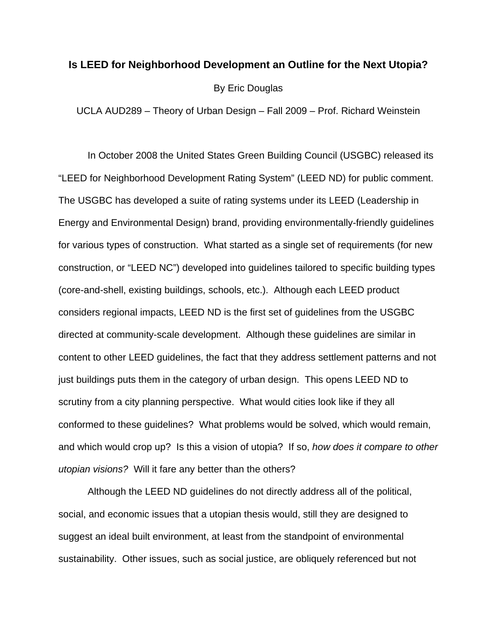### **Is LEED for Neighborhood Development an Outline for the Next Utopia?**

By Eric Douglas

UCLA AUD289 – Theory of Urban Design – Fall 2009 – Prof. Richard Weinstein

 In October 2008 the United States Green Building Council (USGBC) released its "LEED for Neighborhood Development Rating System" (LEED ND) for public comment. The USGBC has developed a suite of rating systems under its LEED (Leadership in Energy and Environmental Design) brand, providing environmentally-friendly guidelines for various types of construction. What started as a single set of requirements (for new construction, or "LEED NC") developed into guidelines tailored to specific building types (core-and-shell, existing buildings, schools, etc.). Although each LEED product considers regional impacts, LEED ND is the first set of guidelines from the USGBC directed at community-scale development. Although these guidelines are similar in content to other LEED guidelines, the fact that they address settlement patterns and not just buildings puts them in the category of urban design. This opens LEED ND to scrutiny from a city planning perspective. What would cities look like if they all conformed to these guidelines? What problems would be solved, which would remain, and which would crop up? Is this a vision of utopia? If so, *how does it compare to other utopian visions?* Will it fare any better than the others?

 Although the LEED ND guidelines do not directly address all of the political, social, and economic issues that a utopian thesis would, still they are designed to suggest an ideal built environment, at least from the standpoint of environmental sustainability. Other issues, such as social justice, are obliquely referenced but not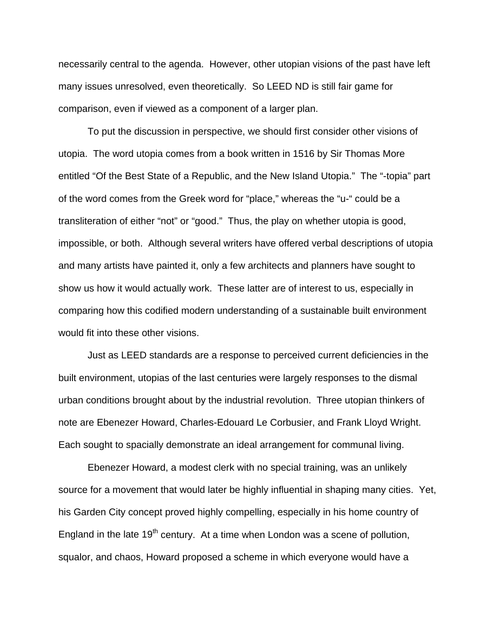necessarily central to the agenda. However, other utopian visions of the past have left many issues unresolved, even theoretically. So LEED ND is still fair game for comparison, even if viewed as a component of a larger plan.

 To put the discussion in perspective, we should first consider other visions of utopia. The word utopia comes from a book written in 1516 by Sir Thomas More entitled "Of the Best State of a Republic, and the New Island Utopia." The "-topia" part of the word comes from the Greek word for "place," whereas the "u-" could be a transliteration of either "not" or "good." Thus, the play on whether utopia is good, impossible, or both. Although several writers have offered verbal descriptions of utopia and many artists have painted it, only a few architects and planners have sought to show us how it would actually work. These latter are of interest to us, especially in comparing how this codified modern understanding of a sustainable built environment would fit into these other visions.

 Just as LEED standards are a response to perceived current deficiencies in the built environment, utopias of the last centuries were largely responses to the dismal urban conditions brought about by the industrial revolution. Three utopian thinkers of note are Ebenezer Howard, Charles-Edouard Le Corbusier, and Frank Lloyd Wright. Each sought to spacially demonstrate an ideal arrangement for communal living.

 Ebenezer Howard, a modest clerk with no special training, was an unlikely source for a movement that would later be highly influential in shaping many cities. Yet, his Garden City concept proved highly compelling, especially in his home country of England in the late  $19<sup>th</sup>$  century. At a time when London was a scene of pollution, squalor, and chaos, Howard proposed a scheme in which everyone would have a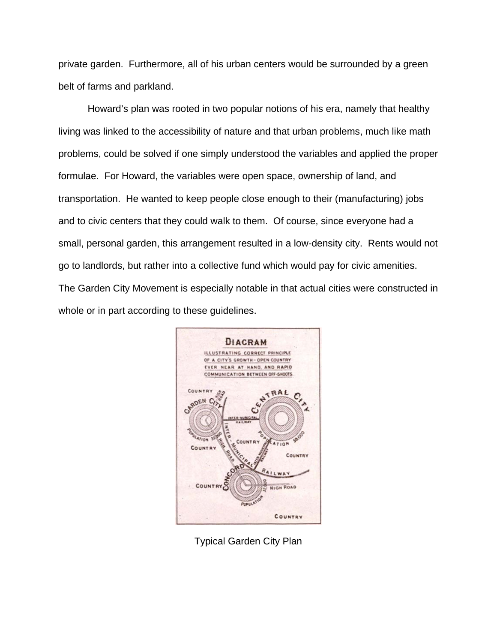private garden. Furthermore, all of his urban centers would be surrounded by a green belt of farms and parkland.

 Howard's plan was rooted in two popular notions of his era, namely that healthy living was linked to the accessibility of nature and that urban problems, much like math problems, could be solved if one simply understood the variables and applied the proper formulae. For Howard, the variables were open space, ownership of land, and transportation. He wanted to keep people close enough to their (manufacturing) jobs and to civic centers that they could walk to them. Of course, since everyone had a small, personal garden, this arrangement resulted in a low-density city. Rents would not go to landlords, but rather into a collective fund which would pay for civic amenities. The Garden City Movement is especially notable in that actual cities were constructed in whole or in part according to these guidelines.



Typical Garden City Plan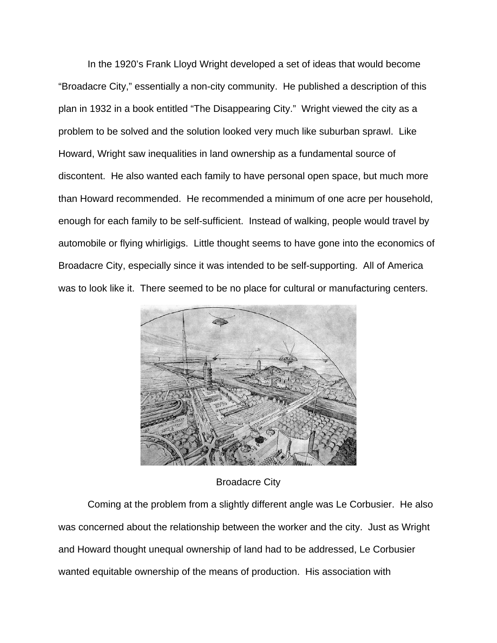In the 1920's Frank Lloyd Wright developed a set of ideas that would become "Broadacre City," essentially a non-city community. He published a description of this plan in 1932 in a book entitled "The Disappearing City." Wright viewed the city as a problem to be solved and the solution looked very much like suburban sprawl. Like Howard, Wright saw inequalities in land ownership as a fundamental source of discontent. He also wanted each family to have personal open space, but much more than Howard recommended. He recommended a minimum of one acre per household, enough for each family to be self-sufficient. Instead of walking, people would travel by automobile or flying whirligigs. Little thought seems to have gone into the economics of Broadacre City, especially since it was intended to be self-supporting. All of America was to look like it. There seemed to be no place for cultural or manufacturing centers.



## Broadacre City

 Coming at the problem from a slightly different angle was Le Corbusier. He also was concerned about the relationship between the worker and the city. Just as Wright and Howard thought unequal ownership of land had to be addressed, Le Corbusier wanted equitable ownership of the means of production. His association with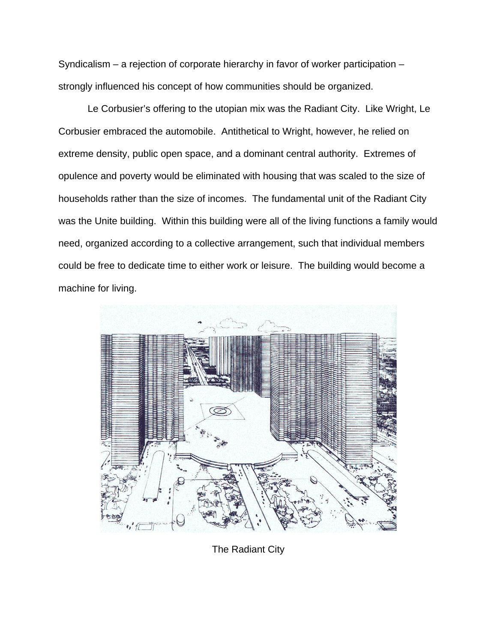Syndicalism – a rejection of corporate hierarchy in favor of worker participation – strongly influenced his concept of how communities should be organized.

 Le Corbusier's offering to the utopian mix was the Radiant City. Like Wright, Le Corbusier embraced the automobile. Antithetical to Wright, however, he relied on extreme density, public open space, and a dominant central authority. Extremes of opulence and poverty would be eliminated with housing that was scaled to the size of households rather than the size of incomes. The fundamental unit of the Radiant City was the Unite building. Within this building were all of the living functions a family would need, organized according to a collective arrangement, such that individual members could be free to dedicate time to either work or leisure. The building would become a machine for living.



The Radiant City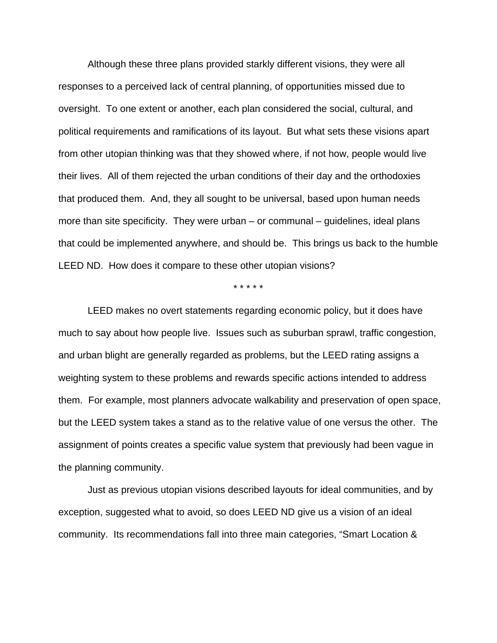Although these three plans provided starkly different visions, they were all responses to a perceived lack of central planning, of opportunities missed due to oversight. To one extent or another, each plan considered the social, cultural, and political requirements and ramifications of its layout. But what sets these visions apart from other utopian thinking was that they showed where, if not how, people would live their lives. All of them rejected the urban conditions of their day and the orthodoxies that produced them. And, they all sought to be universal, based upon human needs more than site specificity. They were urban  $-$  or communal  $-$  guidelines, ideal plans that could be implemented anywhere, and should be. This brings us back to the humble LEED ND. How does it compare to these other utopian visions?

\* \* \* \* \*

 LEED makes no overt statements regarding economic policy, but it does have much to say about how people live. Issues such as suburban sprawl, traffic congestion, and urban blight are generally regarded as problems, but the LEED rating assigns a weighting system to these problems and rewards specific actions intended to address them. For example, most planners advocate walkability and preservation of open space, but the LEED system takes a stand as to the relative value of one versus the other. The assignment of points creates a specific value system that previously had been vague in the planning community.

 Just as previous utopian visions described layouts for ideal communities, and by exception, suggested what to avoid, so does LEED ND give us a vision of an ideal community. Its recommendations fall into three main categories, "Smart Location &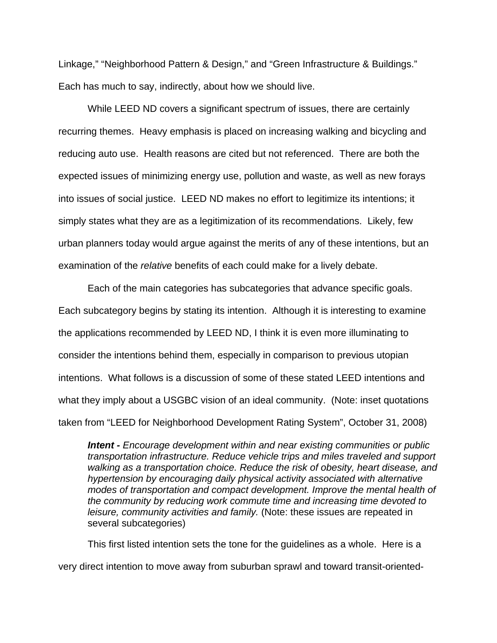Linkage," "Neighborhood Pattern & Design," and "Green Infrastructure & Buildings." Each has much to say, indirectly, about how we should live.

 While LEED ND covers a significant spectrum of issues, there are certainly recurring themes. Heavy emphasis is placed on increasing walking and bicycling and reducing auto use. Health reasons are cited but not referenced. There are both the expected issues of minimizing energy use, pollution and waste, as well as new forays into issues of social justice. LEED ND makes no effort to legitimize its intentions; it simply states what they are as a legitimization of its recommendations. Likely, few urban planners today would argue against the merits of any of these intentions, but an examination of the *relative* benefits of each could make for a lively debate.

 Each of the main categories has subcategories that advance specific goals. Each subcategory begins by stating its intention. Although it is interesting to examine the applications recommended by LEED ND, I think it is even more illuminating to consider the intentions behind them, especially in comparison to previous utopian intentions. What follows is a discussion of some of these stated LEED intentions and what they imply about a USGBC vision of an ideal community. (Note: inset quotations taken from "LEED for Neighborhood Development Rating System", October 31, 2008)

*Intent - Encourage development within and near existing communities or public transportation infrastructure. Reduce vehicle trips and miles traveled and support walking as a transportation choice. Reduce the risk of obesity, heart disease, and hypertension by encouraging daily physical activity associated with alternative modes of transportation and compact development. Improve the mental health of the community by reducing work commute time and increasing time devoted to leisure, community activities and family.* (Note: these issues are repeated in several subcategories)

 This first listed intention sets the tone for the guidelines as a whole. Here is a very direct intention to move away from suburban sprawl and toward transit-oriented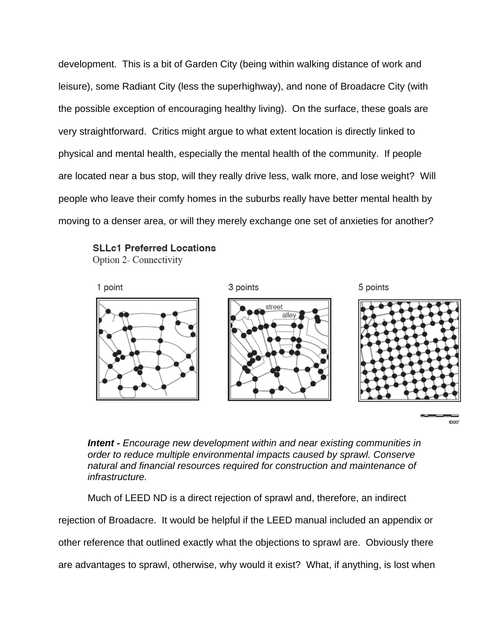development. This is a bit of Garden City (being within walking distance of work and leisure), some Radiant City (less the superhighway), and none of Broadacre City (with the possible exception of encouraging healthy living). On the surface, these goals are very straightforward. Critics might argue to what extent location is directly linked to physical and mental health, especially the mental health of the community. If people are located near a bus stop, will they really drive less, walk more, and lose weight? Will people who leave their comfy homes in the suburbs really have better mental health by moving to a denser area, or will they merely exchange one set of anxieties for another?



Option 2- Connectivity



 $1000'$ 

*Intent - Encourage new development within and near existing communities in order to reduce multiple environmental impacts caused by sprawl. Conserve natural and financial resources required for construction and maintenance of infrastructure.* 

Much of LEED ND is a direct rejection of sprawl and, therefore, an indirect

rejection of Broadacre. It would be helpful if the LEED manual included an appendix or

other reference that outlined exactly what the objections to sprawl are. Obviously there

are advantages to sprawl, otherwise, why would it exist? What, if anything, is lost when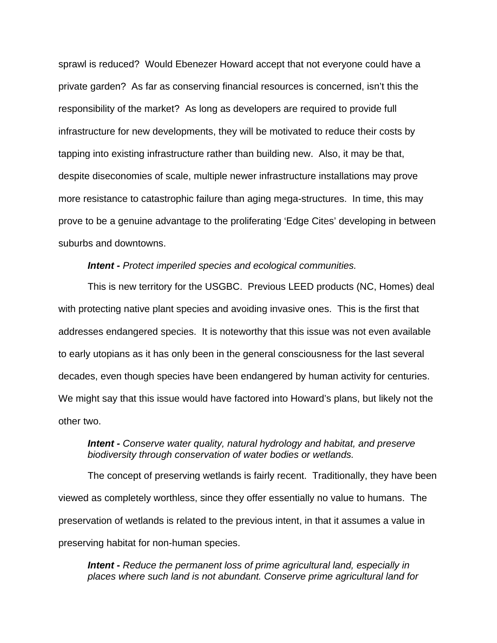sprawl is reduced? Would Ebenezer Howard accept that not everyone could have a private garden? As far as conserving financial resources is concerned, isn't this the responsibility of the market? As long as developers are required to provide full infrastructure for new developments, they will be motivated to reduce their costs by tapping into existing infrastructure rather than building new. Also, it may be that, despite diseconomies of scale, multiple newer infrastructure installations may prove more resistance to catastrophic failure than aging mega-structures. In time, this may prove to be a genuine advantage to the proliferating 'Edge Cites' developing in between suburbs and downtowns.

#### *Intent - Protect imperiled species and ecological communities.*

 This is new territory for the USGBC. Previous LEED products (NC, Homes) deal with protecting native plant species and avoiding invasive ones. This is the first that addresses endangered species. It is noteworthy that this issue was not even available to early utopians as it has only been in the general consciousness for the last several decades, even though species have been endangered by human activity for centuries. We might say that this issue would have factored into Howard's plans, but likely not the other two.

## *Intent - Conserve water quality, natural hydrology and habitat, and preserve biodiversity through conservation of water bodies or wetlands.*

 The concept of preserving wetlands is fairly recent. Traditionally, they have been viewed as completely worthless, since they offer essentially no value to humans. The preservation of wetlands is related to the previous intent, in that it assumes a value in preserving habitat for non-human species.

*Intent - Reduce the permanent loss of prime agricultural land, especially in places where such land is not abundant. Conserve prime agricultural land for*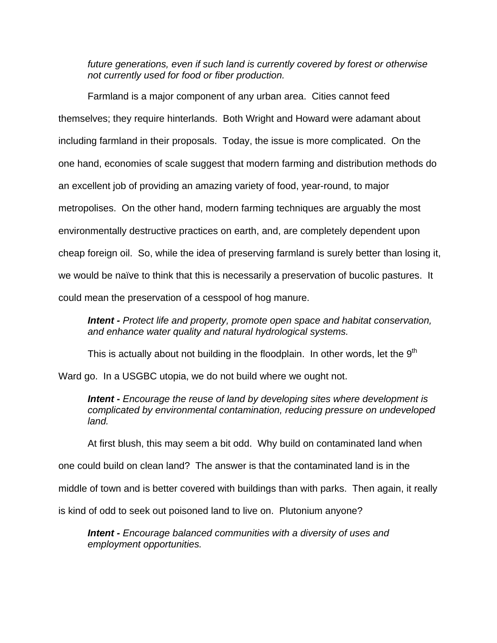*future generations, even if such land is currently covered by forest or otherwise not currently used for food or fiber production.* 

 Farmland is a major component of any urban area. Cities cannot feed themselves; they require hinterlands. Both Wright and Howard were adamant about including farmland in their proposals. Today, the issue is more complicated. On the one hand, economies of scale suggest that modern farming and distribution methods do an excellent job of providing an amazing variety of food, year-round, to major metropolises. On the other hand, modern farming techniques are arguably the most environmentally destructive practices on earth, and, are completely dependent upon cheap foreign oil. So, while the idea of preserving farmland is surely better than losing it, we would be naïve to think that this is necessarily a preservation of bucolic pastures. It could mean the preservation of a cesspool of hog manure.

*Intent - Protect life and property, promote open space and habitat conservation, and enhance water quality and natural hydrological systems.* 

This is actually about not building in the floodplain. In other words, let the  $9<sup>th</sup>$ 

Ward go. In a USGBC utopia, we do not build where we ought not.

*Intent - Encourage the reuse of land by developing sites where development is complicated by environmental contamination, reducing pressure on undeveloped land.* 

At first blush, this may seem a bit odd. Why build on contaminated land when

one could build on clean land? The answer is that the contaminated land is in the

middle of town and is better covered with buildings than with parks. Then again, it really

is kind of odd to seek out poisoned land to live on. Plutonium anyone?

*Intent - Encourage balanced communities with a diversity of uses and employment opportunities.*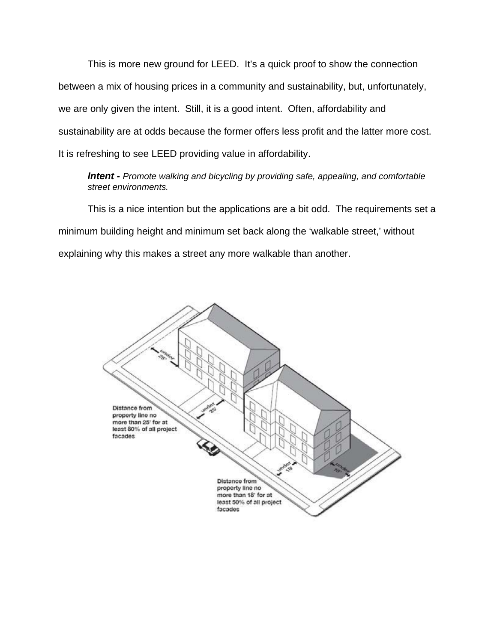This is more new ground for LEED. It's a quick proof to show the connection between a mix of housing prices in a community and sustainability, but, unfortunately, we are only given the intent. Still, it is a good intent. Often, affordability and sustainability are at odds because the former offers less profit and the latter more cost. It is refreshing to see LEED providing value in affordability.

*Intent - Promote walking and bicycling by providing safe, appealing, and comfortable street environments.*

 This is a nice intention but the applications are a bit odd. The requirements set a minimum building height and minimum set back along the 'walkable street,' without explaining why this makes a street any more walkable than another.

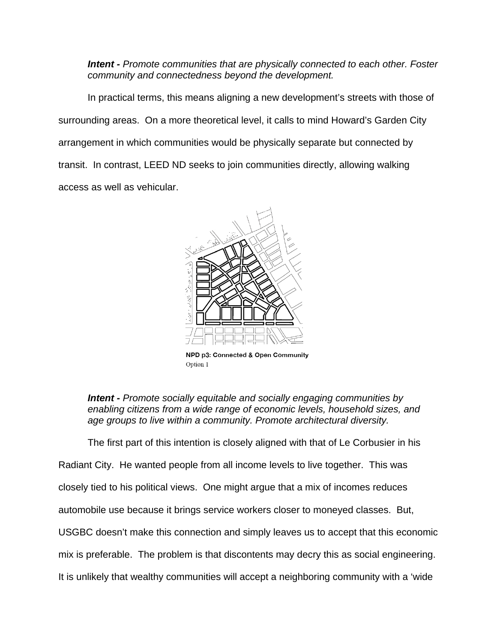*Intent - Promote communities that are physically connected to each other. Foster community and connectedness beyond the development.* 

 In practical terms, this means aligning a new development's streets with those of surrounding areas. On a more theoretical level, it calls to mind Howard's Garden City arrangement in which communities would be physically separate but connected by transit. In contrast, LEED ND seeks to join communities directly, allowing walking access as well as vehicular.



NPD p3: Connected & Open Community Option 1

*Intent - Promote socially equitable and socially engaging communities by enabling citizens from a wide range of economic levels, household sizes, and age groups to live within a community. Promote architectural diversity.* 

The first part of this intention is closely aligned with that of Le Corbusier in his

Radiant City. He wanted people from all income levels to live together. This was closely tied to his political views. One might argue that a mix of incomes reduces automobile use because it brings service workers closer to moneyed classes. But, USGBC doesn't make this connection and simply leaves us to accept that this economic mix is preferable. The problem is that discontents may decry this as social engineering. It is unlikely that wealthy communities will accept a neighboring community with a 'wide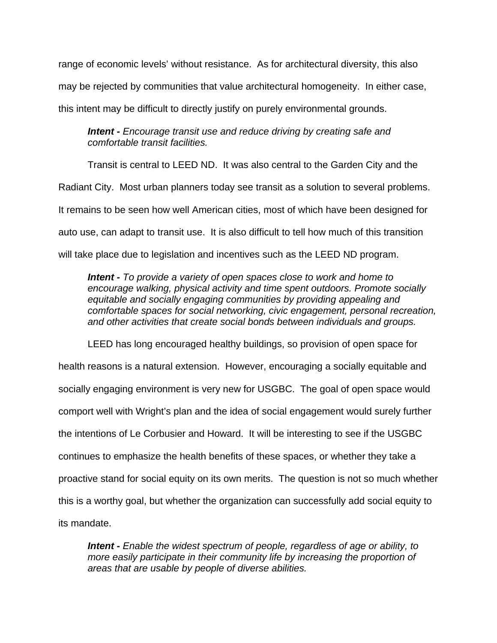range of economic levels' without resistance. As for architectural diversity, this also may be rejected by communities that value architectural homogeneity. In either case, this intent may be difficult to directly justify on purely environmental grounds.

*Intent - Encourage transit use and reduce driving by creating safe and comfortable transit facilities.* 

 Transit is central to LEED ND. It was also central to the Garden City and the Radiant City. Most urban planners today see transit as a solution to several problems. It remains to be seen how well American cities, most of which have been designed for auto use, can adapt to transit use. It is also difficult to tell how much of this transition will take place due to legislation and incentives such as the LEED ND program.

*Intent - To provide a variety of open spaces close to work and home to encourage walking, physical activity and time spent outdoors. Promote socially equitable and socially engaging communities by providing appealing and comfortable spaces for social networking, civic engagement, personal recreation, and other activities that create social bonds between individuals and groups.* 

 LEED has long encouraged healthy buildings, so provision of open space for health reasons is a natural extension. However, encouraging a socially equitable and socially engaging environment is very new for USGBC. The goal of open space would comport well with Wright's plan and the idea of social engagement would surely further the intentions of Le Corbusier and Howard. It will be interesting to see if the USGBC continues to emphasize the health benefits of these spaces, or whether they take a proactive stand for social equity on its own merits. The question is not so much whether this is a worthy goal, but whether the organization can successfully add social equity to its mandate.

*Intent - Enable the widest spectrum of people, regardless of age or ability, to more easily participate in their community life by increasing the proportion of areas that are usable by people of diverse abilities.*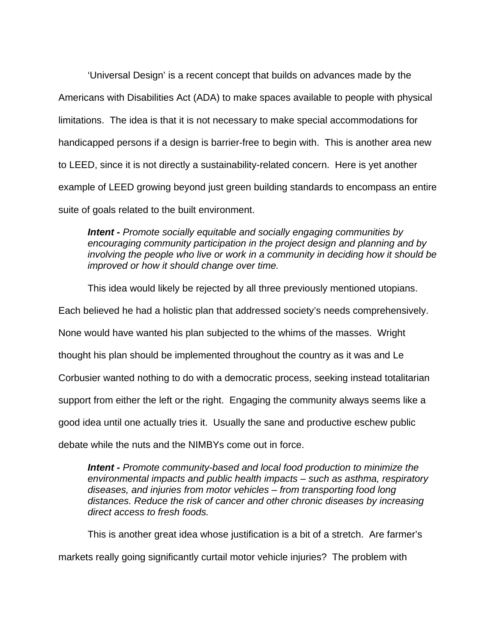'Universal Design' is a recent concept that builds on advances made by the Americans with Disabilities Act (ADA) to make spaces available to people with physical limitations. The idea is that it is not necessary to make special accommodations for handicapped persons if a design is barrier-free to begin with. This is another area new to LEED, since it is not directly a sustainability-related concern. Here is yet another example of LEED growing beyond just green building standards to encompass an entire suite of goals related to the built environment.

*Intent - Promote socially equitable and socially engaging communities by encouraging community participation in the project design and planning and by involving the people who live or work in a community in deciding how it should be improved or how it should change over time.* 

This idea would likely be rejected by all three previously mentioned utopians.

Each believed he had a holistic plan that addressed society's needs comprehensively.

None would have wanted his plan subjected to the whims of the masses. Wright

thought his plan should be implemented throughout the country as it was and Le

Corbusier wanted nothing to do with a democratic process, seeking instead totalitarian

support from either the left or the right. Engaging the community always seems like a

good idea until one actually tries it. Usually the sane and productive eschew public

debate while the nuts and the NIMBYs come out in force.

*Intent - Promote community-based and local food production to minimize the environmental impacts and public health impacts – such as asthma, respiratory diseases, and injuries from motor vehicles – from transporting food long distances. Reduce the risk of cancer and other chronic diseases by increasing direct access to fresh foods.* 

 This is another great idea whose justification is a bit of a stretch. Are farmer's markets really going significantly curtail motor vehicle injuries? The problem with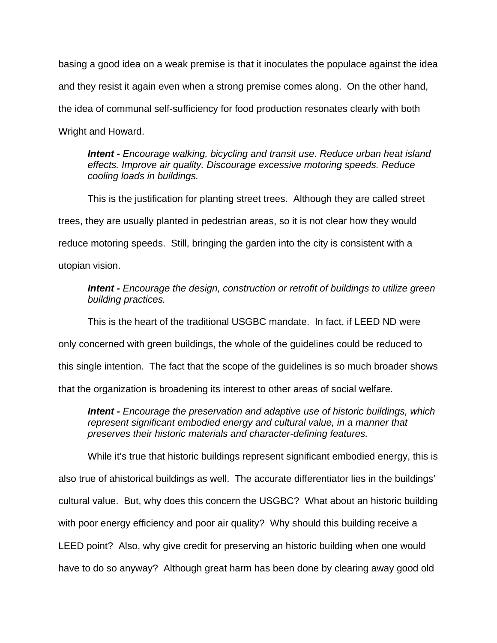basing a good idea on a weak premise is that it inoculates the populace against the idea and they resist it again even when a strong premise comes along. On the other hand, the idea of communal self-sufficiency for food production resonates clearly with both Wright and Howard.

*Intent - Encourage walking, bicycling and transit use. Reduce urban heat island effects. Improve air quality. Discourage excessive motoring speeds. Reduce cooling loads in buildings.* 

 This is the justification for planting street trees. Although they are called street trees, they are usually planted in pedestrian areas, so it is not clear how they would reduce motoring speeds. Still, bringing the garden into the city is consistent with a utopian vision.

*Intent - Encourage the design, construction or retrofit of buildings to utilize green building practices.* 

This is the heart of the traditional USGBC mandate. In fact, if LEED ND were

only concerned with green buildings, the whole of the guidelines could be reduced to

this single intention. The fact that the scope of the guidelines is so much broader shows

that the organization is broadening its interest to other areas of social welfare.

*Intent - Encourage the preservation and adaptive use of historic buildings, which represent significant embodied energy and cultural value, in a manner that preserves their historic materials and character-defining features.* 

 While it's true that historic buildings represent significant embodied energy, this is also true of ahistorical buildings as well. The accurate differentiator lies in the buildings' cultural value. But, why does this concern the USGBC? What about an historic building with poor energy efficiency and poor air quality? Why should this building receive a LEED point? Also, why give credit for preserving an historic building when one would have to do so anyway? Although great harm has been done by clearing away good old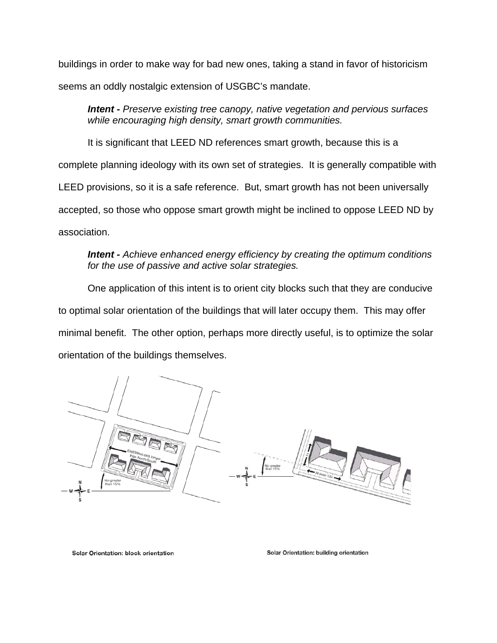buildings in order to make way for bad new ones, taking a stand in favor of historicism seems an oddly nostalgic extension of USGBC's mandate.

*Intent - Preserve existing tree canopy, native vegetation and pervious surfaces while encouraging high density, smart growth communities.* 

 It is significant that LEED ND references smart growth, because this is a complete planning ideology with its own set of strategies. It is generally compatible with LEED provisions, so it is a safe reference. But, smart growth has not been universally accepted, so those who oppose smart growth might be inclined to oppose LEED ND by association.

# *Intent - Achieve enhanced energy efficiency by creating the optimum conditions for the use of passive and active solar strategies.*

 One application of this intent is to orient city blocks such that they are conducive to optimal solar orientation of the buildings that will later occupy them. This may offer minimal benefit. The other option, perhaps more directly useful, is to optimize the solar orientation of the buildings themselves.



Solar Orientation: block orientation

Solar Orientation: building orientation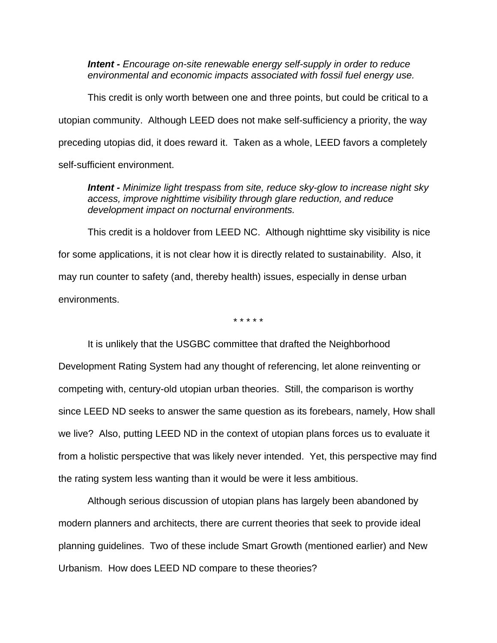*Intent - Encourage on-site renewable energy self-supply in order to reduce environmental and economic impacts associated with fossil fuel energy use.* 

 This credit is only worth between one and three points, but could be critical to a utopian community. Although LEED does not make self-sufficiency a priority, the way preceding utopias did, it does reward it. Taken as a whole, LEED favors a completely self-sufficient environment.

*Intent - Minimize light trespass from site, reduce sky-glow to increase night sky access, improve nighttime visibility through glare reduction, and reduce development impact on nocturnal environments.* 

 This credit is a holdover from LEED NC. Although nighttime sky visibility is nice for some applications, it is not clear how it is directly related to sustainability. Also, it may run counter to safety (and, thereby health) issues, especially in dense urban environments.

\* \* \* \* \*

 It is unlikely that the USGBC committee that drafted the Neighborhood Development Rating System had any thought of referencing, let alone reinventing or competing with, century-old utopian urban theories. Still, the comparison is worthy since LEED ND seeks to answer the same question as its forebears, namely, How shall we live? Also, putting LEED ND in the context of utopian plans forces us to evaluate it from a holistic perspective that was likely never intended. Yet, this perspective may find the rating system less wanting than it would be were it less ambitious.

 Although serious discussion of utopian plans has largely been abandoned by modern planners and architects, there are current theories that seek to provide ideal planning guidelines. Two of these include Smart Growth (mentioned earlier) and New Urbanism. How does LEED ND compare to these theories?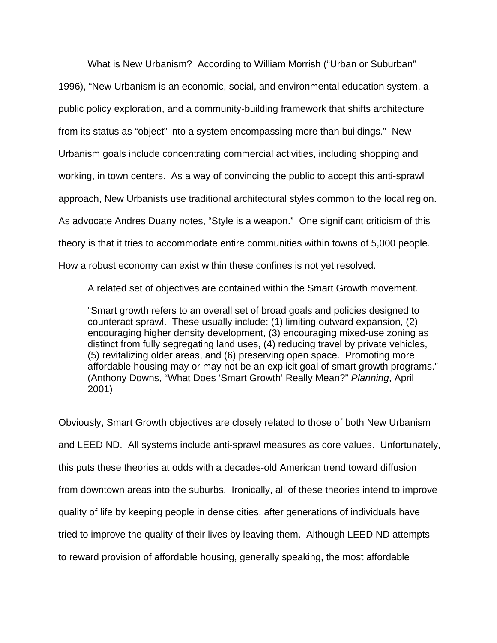What is New Urbanism? According to William Morrish ("Urban or Suburban" 1996), "New Urbanism is an economic, social, and environmental education system, a public policy exploration, and a community-building framework that shifts architecture from its status as "object" into a system encompassing more than buildings." New Urbanism goals include concentrating commercial activities, including shopping and working, in town centers. As a way of convincing the public to accept this anti-sprawl approach, New Urbanists use traditional architectural styles common to the local region. As advocate Andres Duany notes, "Style is a weapon." One significant criticism of this theory is that it tries to accommodate entire communities within towns of 5,000 people. How a robust economy can exist within these confines is not yet resolved.

A related set of objectives are contained within the Smart Growth movement.

"Smart growth refers to an overall set of broad goals and policies designed to counteract sprawl. These usually include: (1) limiting outward expansion, (2) encouraging higher density development, (3) encouraging mixed-use zoning as distinct from fully segregating land uses, (4) reducing travel by private vehicles, (5) revitalizing older areas, and (6) preserving open space. Promoting more affordable housing may or may not be an explicit goal of smart growth programs." (Anthony Downs, "What Does 'Smart Growth' Really Mean?" *Planning*, April 2001)

Obviously, Smart Growth objectives are closely related to those of both New Urbanism and LEED ND. All systems include anti-sprawl measures as core values. Unfortunately, this puts these theories at odds with a decades-old American trend toward diffusion from downtown areas into the suburbs. Ironically, all of these theories intend to improve quality of life by keeping people in dense cities, after generations of individuals have tried to improve the quality of their lives by leaving them. Although LEED ND attempts to reward provision of affordable housing, generally speaking, the most affordable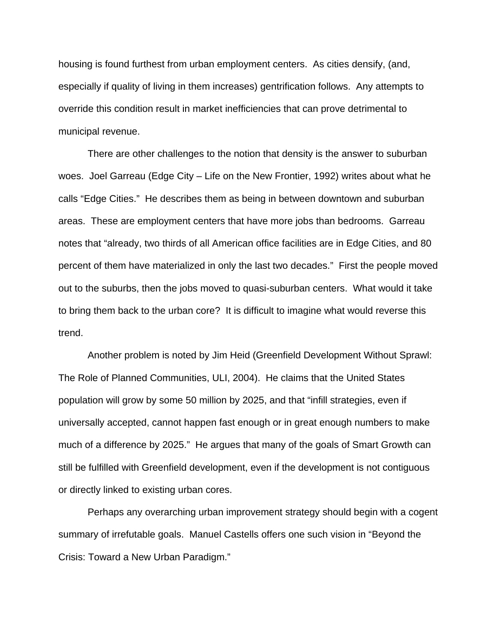housing is found furthest from urban employment centers. As cities densify, (and, especially if quality of living in them increases) gentrification follows. Any attempts to override this condition result in market inefficiencies that can prove detrimental to municipal revenue.

 There are other challenges to the notion that density is the answer to suburban woes. Joel Garreau (Edge City – Life on the New Frontier, 1992) writes about what he calls "Edge Cities." He describes them as being in between downtown and suburban areas. These are employment centers that have more jobs than bedrooms. Garreau notes that "already, two thirds of all American office facilities are in Edge Cities, and 80 percent of them have materialized in only the last two decades." First the people moved out to the suburbs, then the jobs moved to quasi-suburban centers. What would it take to bring them back to the urban core? It is difficult to imagine what would reverse this trend.

 Another problem is noted by Jim Heid (Greenfield Development Without Sprawl: The Role of Planned Communities, ULI, 2004). He claims that the United States population will grow by some 50 million by 2025, and that "infill strategies, even if universally accepted, cannot happen fast enough or in great enough numbers to make much of a difference by 2025." He argues that many of the goals of Smart Growth can still be fulfilled with Greenfield development, even if the development is not contiguous or directly linked to existing urban cores.

 Perhaps any overarching urban improvement strategy should begin with a cogent summary of irrefutable goals. Manuel Castells offers one such vision in "Beyond the Crisis: Toward a New Urban Paradigm."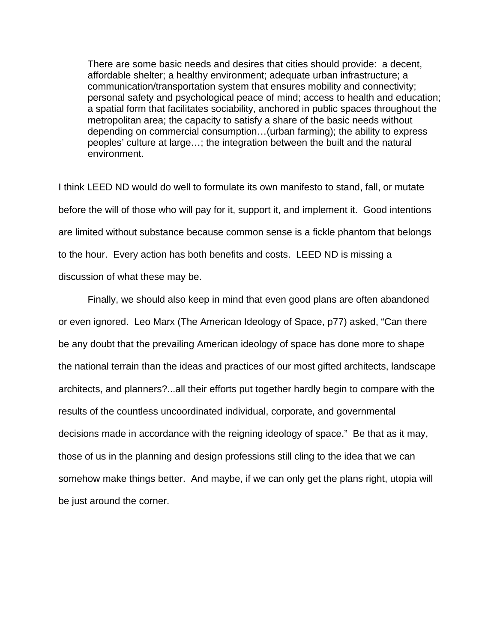There are some basic needs and desires that cities should provide: a decent, affordable shelter; a healthy environment; adequate urban infrastructure; a communication/transportation system that ensures mobility and connectivity; personal safety and psychological peace of mind; access to health and education; a spatial form that facilitates sociability, anchored in public spaces throughout the metropolitan area; the capacity to satisfy a share of the basic needs without depending on commercial consumption…(urban farming); the ability to express peoples' culture at large…; the integration between the built and the natural environment.

I think LEED ND would do well to formulate its own manifesto to stand, fall, or mutate before the will of those who will pay for it, support it, and implement it. Good intentions are limited without substance because common sense is a fickle phantom that belongs to the hour. Every action has both benefits and costs. LEED ND is missing a discussion of what these may be.

 Finally, we should also keep in mind that even good plans are often abandoned or even ignored. Leo Marx (The American Ideology of Space, p77) asked, "Can there be any doubt that the prevailing American ideology of space has done more to shape the national terrain than the ideas and practices of our most gifted architects, landscape architects, and planners?...all their efforts put together hardly begin to compare with the results of the countless uncoordinated individual, corporate, and governmental decisions made in accordance with the reigning ideology of space." Be that as it may, those of us in the planning and design professions still cling to the idea that we can somehow make things better. And maybe, if we can only get the plans right, utopia will be just around the corner.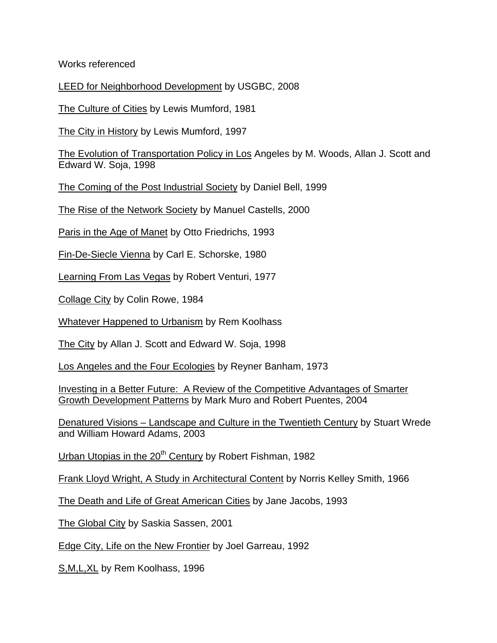Works referenced

LEED for Neighborhood Development by USGBC, 2008

The Culture of Cities by Lewis Mumford, 1981

The City in History by Lewis Mumford, 1997

The Evolution of Transportation Policy in Los Angeles by M. Woods, Allan J. Scott and Edward W. Soja, 1998

The Coming of the Post Industrial Society by Daniel Bell, 1999

The Rise of the Network Society by Manuel Castells, 2000

Paris in the Age of Manet by Otto Friedrichs, 1993

Fin-De-Siecle Vienna by Carl E. Schorske, 1980

Learning From Las Vegas by Robert Venturi, 1977

Collage City by Colin Rowe, 1984

Whatever Happened to Urbanism by Rem Koolhass

The City by Allan J. Scott and Edward W. Soja, 1998

Los Angeles and the Four Ecologies by Reyner Banham, 1973

Investing in a Better Future: A Review of the Competitive Advantages of Smarter Growth Development Patterns by Mark Muro and Robert Puentes, 2004

Denatured Visions – Landscape and Culture in the Twentieth Century by Stuart Wrede and William Howard Adams, 2003

Urban Utopias in the 20<sup>th</sup> Century by Robert Fishman, 1982

Frank Lloyd Wright, A Study in Architectural Content by Norris Kelley Smith, 1966

The Death and Life of Great American Cities by Jane Jacobs, 1993

The Global City by Saskia Sassen, 2001

Edge City, Life on the New Frontier by Joel Garreau, 1992

S, M, L, XL by Rem Koolhass, 1996